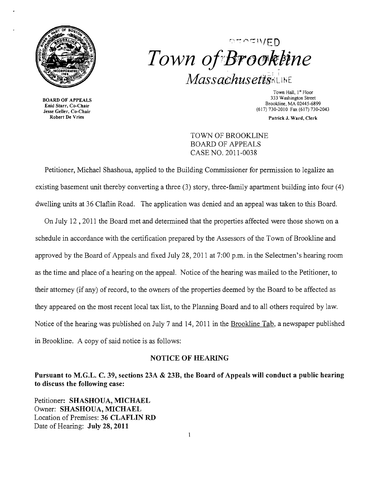

 $\circ$ " $\circ$ " $\circ$ IV/ED Town of Brookline MassachusettsKLINE

**BOARD OF APPEALS**<br>**Enid Starr, Co-Chair** (617) 730-2010 Fax (617) 730-2043<br>See Geller, Co-Chair<br>Robert De Vries

Town Hall, 1<sup>st</sup> Floor<br>333 Washington Street Brookline, MA 02445-6899<br> **Brookline, MA 02445-6899**<br> **Brookline, MA 02445-6899**<br> **Brookline, MA 02445-6899**<br> **Brookline, MA 02445-6899** 

Patrick J. Ward, Clerk

TOWN OF BROOKLINE BOARD OF APPEALS CASE NO. 2011-0038

Petitioner, Michael Shashoua, applied to the Building Commissioner for permission to legalize an existing basement unit thereby converting a three (3) story, three-family apartment building into four (4) dwelling units at 36 Claflin Road. The application was denied and an appeal was taken to this Board.

On July 12,2011 the Board met and determined that the properties affected were those shown on a schedule in accordance with the certification prepared by the Assessors of the Town of Brookline and approved by the Board of Appeals and fixed July 28,2011 at 7:00 p.m. in the Selectmen's hearing room as the time and place of a hearing on the appeal. Notice of the hearing was mailed to the Petitioner, to their attorney (if any) of record, to the owners of the properties deemed by the Board to be affected as they appeared on the most recent local tax list, to the Planning Board and to all others required by law. Notice of the hearing was published on July 7 and 14,2011 in the Brookline Tab, a newspaper published in Brookline. A copy of said notice is as follows:

## NOTICE OF HEARING

Pursuant to M.G.L. C. 39, sections 23A & 23B, the Board of Appeals will conduct a public hearing to discuss the following case:

Petitioner: SHASHOUA, MICHAEL Owner: SHASHOUA, MICHAEL Location of Premises: 36 CLAFLIN RD Date of Hearing: July 28, 2011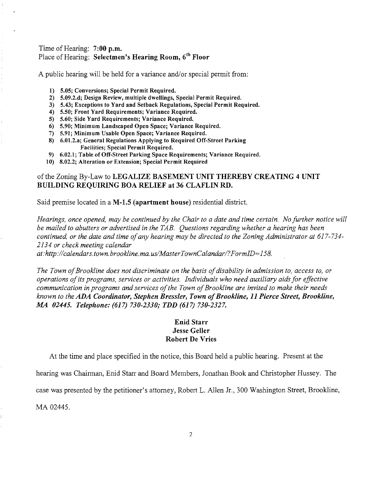#### Time of Hearing: 7:00 p.m. Place of Hearing: Selectmen's Hearing Room, 6<sup>th</sup> Floor

A public hearing will be held for a variance and/or special permit from:

- 1) 5.05; Conversions; Special Permit Required.
- 2) 5.09.2.d; Design Review, multiple dwellings, Special Permit Required.
- 3) 5.43; Exceptions to Yard and Setback Regulations, Special Permit Required.
- 4) 5.50; Front Yard Requirements; Variance Required.
- 5) 5.60; Side Yard Requirements; Variance Required.
- 6) 5.90; Minimum Landscaped Open Space; Variance Required.
- 7) 5.91; Minimum Usable Open Space; Variance Required.
- 8) 6.01.2.a; General Regulations Applying to Required Off-Street Parking Facilities; Special Permit Required.
- 9) 6.02.1; Table of Off-Street Parking Space Requirements; Variance Required.
- 10) 8.02.2; Alteration or Extension; Special Permit Required

## of the Zoning By-Law to LEGALIZE BASEMENT UNIT THEREBY CREATING 4 UNIT BUILDING REQUIRING BOA RELIEF at 36 CLAFLIN RD.

Said premise located in a M-1.5 (apartment house) residential district.

*Hearings, once opened, may be continued by the Chair to a date and time certain. No further notice will be mailed to abutters or advertised in the TAB. Questions regarding whether a hearing has been continued, or the date and time ofany hearing may be directed to the Zoning Administrator at 617-734 2134 or check meeting calendar at:http://calendars. town. brookline. ma. uslMasterTownCalandarl?FormID=158.* 

The Town of Brookline does not discriminate on the basis of disability in admission to, access to, or *operations ofits programs, services or activities. Individuals who need auxiliary aids for effective communication in programs and services ofthe Town ofBrookline are invited to make their needs known to the ADA Coordinator, Stephen Bressler, Town ofBrookline,* 11 *Pierce Street, Brookline, .MA 02445. Telephone:* (617) *730-2330; TDD* (617) *730-2327.* 

# Enid Starr Jesse Geller Robert De Vries

At the time and place specified in the notice, this Board held a public hearing. Present at the

hearing was Chairman, Enid Starr and Board Members, Jonathan Book and Christopher Hussey. The

case was presented by the petitioner's attorney, Robert L. Allen Jr., 300 Washington Street, Brookline,

MA 02445.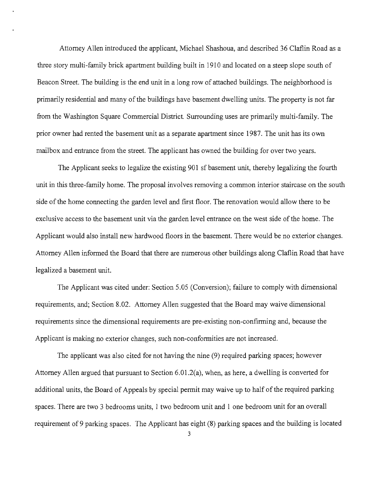Attorney Allen introduced the applicant, Michael Shashoua, and described 36 Claflin Road as a three story multi-family brick apartment building built in 1910 and located on a steep slope south of Beacon Street. The building is the end unit in a long row of attached buildings. The neighborhood is primarily residential and many of the buildings have basement dwelling units. The property is not far from the Washington Square Commercial District. Surrounding uses are primarily multi-family. The prior owner had rented the basement unit as a separate apartment since 1987. The unit has its own mailbox and entrance from the street. The applicant has owned the building for over two years.

The Applicant seeks to legalize the existing 901 sf basement *unit,* thereby legalizing the fourth unit in this three-family home. The proposal involves removing a common interior staircase on the south side of the home connecting the garden level and first floor. The renovation would allow there to be exclusive access to the basement unit via the garden level entrance on the west side of the home. The Applicant would also install new hardwood floors in the basement. There would be no exterior changes. Attorney Allen informed the Board that there are numerous other buildings along Claflin Road that have legalized a basement unit.

The Applicant was cited under: Section 5.05 (Conversion); failure to comply with dimensional requirements, and; Section 8.02. Attorney Allen suggested that the Board may waive dimensional requirements since the dimensional requirements are pre-existing non-confirming and, because the Applicant is making no exterior changes, such non-conformities are not increased.

The applicant was also cited for not having the *nine* (9) required parking spaces; however Attorney Allen argued that pursuant to Section  $6.01.2(a)$ , when, as here, a dwelling is converted for additional units, the Board of Appeals by special permit may waive up to half of the required parking spaces. There are two 3 bedrooms units, 1 two bedroom unit and 1 one bedroom unit for an overall requirement of 9 parking spaces. The Applicant has eight (8) parking spaces and the building is located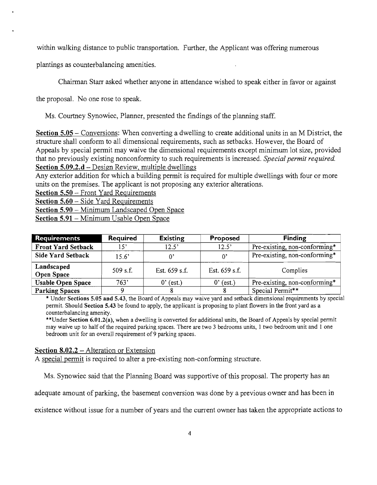within walking distance to public transportation. Further, the Applicant was offering numerous

plantings as counterbalancing amenities.

Chairman Starr asked whether anyone in attendance wished to speak either in favor or against

the proposal. No one rose to speak.

Ms. Courtney Synowiec, Planner, presented the findings of the planning staff.

Section 5.05 – Conversions: When converting a dwelling to create additional units in an M District, the structure shall conform to all dimensional requirements, such as setbacks. However, the Board of Appeals by special permit may waive the dimensional requirements except minimum lot size, provided that no previously existing nonconformity to such requirements is increased. *Special permit required.*  Section 5.09.2.d – Design Review, multiple dwellings

Any exterior addition for which a building permit is required for multiple dwellings with four or more units on the premises. The applicant is not proposing any exterior alterations.

Section 5.50 - Front Yard Requirements

Section 5.60 - Side Yard Requirements

Section 5.90 - Minimum Landscaped Open Space

Section 5.91 - Minimum Usable Open Space

| <b>Requirements</b>             | Required     | <b>Existing</b> | Proposed      | <b>Finding</b>                |
|---------------------------------|--------------|-----------------|---------------|-------------------------------|
| <b>Front Yard Setback</b>       | $15^{\circ}$ | 12.5'           | 12.5'         | Pre-existing, non-conforming* |
| <b>Side Yard Setback</b>        | 15.6'        | η.              | $^{\circ}$    | Pre-existing, non-conforming* |
| Landscaped<br><b>Open Space</b> | $509$ s.f.   | Est. 659 s.f.   | Est. 659 s.f. | Complies                      |
| <b>Usable Open Space</b>        | 763'         | $0'$ (est.)     | (est.)<br>0'  | Pre-existing, non-conforming* |
| <b>Parking Spaces</b>           |              |                 |               | Special Permit**              |

\* Under Sections 5.05 and 5.43, the Board of Appeals may waive yard and setback dimensional requirements by special permit. Should Section 5.43 be found to apply, the applicant is proposing to plant flowers in the front yard as a counterbalancing amenity.

\*\*Under Section 6.01.2(a), when a dwelling is converted for additional units, the Board of Appeals by special permit may waive up to half of the required parking spaces. There are two 3 bedrooms units, 1 two bedroom unit and 1 one bedroom unit for an overall requirement of 9 parking spaces.

#### Section 8.02.2 – Alteration or Extension

A special permit is required to alter a pre-existing non-conforming structure.

Ms. Synowiec said that the Planning Board was supportive of this proposal. The property has an

adequate amount of parking, the basement conversion was done by a previous owner and has been in

existence without issue for a number of years and the current owner has taken the appropriate actions to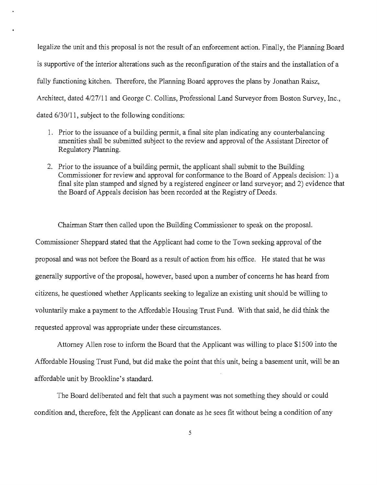legalize the unit and this proposal is not the result of an enforcement action. Finally, the Planning Board is supportive of the interior alterations such as the reconfiguration of the stairs and the installation of a fully functioning kitchen. Therefore, the Planning Board approves the plans by Jonathan Raisz, Architect, dated 4/27/11 and George C. Collins, Professional Land Surveyor from Boston Survey, Inc., dated 6/30/11, subject to the following conditions:

- 1. Prior to the issuance of a building permit, a final site plan indicating any counterbalancing amenities shall be submitted subject to the review and approval of the Assistant Director of Regulatory Planning.
- 2. Prior to the issuance of a building permit, the applicant shall submit to the Building Commissioner for review and approval for conformance to the Board of Appeals decision: 1) a final site plan stamped and signed by a registered engineer or land surveyor; and 2) evidence that the Board of Appeals decision has been recorded at the Registry of Deeds.

Chairman Starr then called upon the Building Commissioner to speak on the proposal. Commissioner Sheppard stated that the Applicant had come to the Town seeking approval of the proposal and was not before the Board as a result of action from his office. He stated that he was generally supportive of the proposal, however, based upon a number of concerns he has heard from citizens, he questioned whether Applicants seeking to legalize an existing unit should be willing to voluntarily make a payment to the Affordable Housing Trust Fund. With that said, he did think the requested approval was appropriate under these circumstances.

Attorney Allen rose to inform the Board that the Applicant was willing to place \$1500 into the Affordable Housing Trust Fund, but did make the point that this unit, being a basement unit, will be an affordable unit by Brookline's standard.

The Board deliberated and felt that such a payment was not something they should or could condition and, therefore, felt the Applicant can donate as he sees fit without being a condition of any